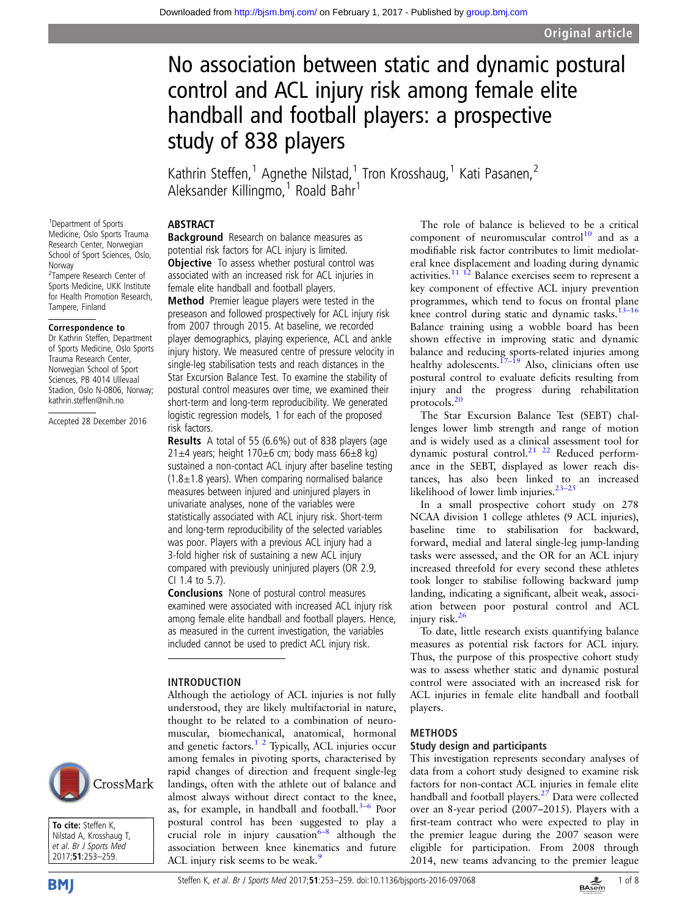# No association between static and dynamic postural control and ACL injury risk among female elite handball and football players: a prospective study of 838 players

Kathrin Steffen,<sup>1</sup> Agnethe Nilstad,<sup>1</sup> Tron Krosshaug,<sup>1</sup> Kati Pasanen,<sup>2</sup> Aleksander Killingmo, $1$  Roald Bahr $1$ 

#### ABSTRACT

1 Department of Sports Medicine, Oslo Sports Trauma Research Center, Norwegian School of Sport Sciences, Oslo, Norway <sup>2</sup>Tampere Research Center of Sports Medicine, UKK Institute for Health Promotion Research, Tampere, Finland

#### Correspondence to

Dr Kathrin Steffen, Department of Sports Medicine, Oslo Sports Trauma Research Center, Norwegian School of Sport Sciences, PB 4014 Ullevaal Stadion, Oslo N-0806, Norway; kathrin.steffen@nih.no

Accepted 28 December 2016



To cite: Steffen K, Nilstad A, Krosshaug T, et al. Br J Sports Med 2017;51:253–259.

**Background** Research on balance measures as potential risk factors for ACL injury is limited. **Objective** To assess whether postural control was associated with an increased risk for ACL injuries in female elite handball and football players.

Method Premier league players were tested in the preseason and followed prospectively for ACL injury risk from 2007 through 2015. At baseline, we recorded player demographics, playing experience, ACL and ankle injury history. We measured centre of pressure velocity in single-leg stabilisation tests and reach distances in the Star Excursion Balance Test. To examine the stability of postural control measures over time, we examined their short-term and long-term reproducibility. We generated logistic regression models, 1 for each of the proposed risk factors.

Results A total of 55 (6.6%) out of 838 players (age 21 $\pm$ 4 years; height 170 $\pm$ 6 cm; body mass 66 $\pm$ 8 kg) sustained a non-contact ACL injury after baseline testing  $(1.8 \pm 1.8$  years). When comparing normalised balance measures between injured and uninjured players in univariate analyses, none of the variables were statistically associated with ACL injury risk. Short-term and long-term reproducibility of the selected variables was poor. Players with a previous ACL injury had a 3-fold higher risk of sustaining a new ACL injury compared with previously uninjured players (OR 2.9, CI 1.4 to 5.7).

Conclusions None of postural control measures examined were associated with increased ACL injury risk among female elite handball and football players. Hence, as measured in the current investigation, the variables included cannot be used to predict ACL injury risk.

## INTRODUCTION

Although the aetiology of ACL injuries is not fully understood, they are likely multifactorial in nature, thought to be related to a combination of neuromuscular, biomechanical, anatomical, hormonal and genetic factors.<sup>[1 2](#page-6-0)</sup> Typically, ACL injuries occur among females in pivoting sports, characterised by rapid changes of direction and frequent single-leg landings, often with the athlete out of balance and almost always without direct contact to the knee, as, for example, in handball and football. $3-6$  $3-6$  Poor postural control has been suggested to play a crucial role in injury causation<sup>6–[8](#page-6-0)</sup> although the association between knee kinematics and future ACL injury risk seems to be weak.<sup>5</sup>

The role of balance is believed to be a critical component of neuromuscular control<sup>[10](#page-6-0)</sup> and as a modifiable risk factor contributes to limit mediolateral knee displacement and loading during dynamic activities.<sup>[11 12](#page-6-0)</sup> Balance exercises seem to represent a key component of effective ACL injury prevention programmes, which tend to focus on frontal plane knee control during static and dynamic tasks. $13-16$  $13-16$ Balance training using a wobble board has been shown effective in improving static and dynamic balance and reducing sports-related injuries among healthy adolescents.<sup>17-[19](#page-6-0)</sup> Also, clinicians often use postural control to evaluate deficits resulting from injury and the progress during rehabilitation protocols.<sup>[20](#page-6-0)</sup>

The Star Excursion Balance Test (SEBT) challenges lower limb strength and range of motion and is widely used as a clinical assessment tool for dynamic postural control[.21 22](#page-6-0) Reduced performance in the SEBT, displayed as lower reach distances, has also been linked to an increased likelihood of lower limb injuries.<sup>23-[25](#page-6-0)</sup>

In a small prospective cohort study on 278 NCAA division 1 college athletes (9 ACL injuries), baseline time to stabilisation for backward, forward, medial and lateral single-leg jump-landing tasks were assessed, and the OR for an ACL injury increased threefold for every second these athletes took longer to stabilise following backward jump landing, indicating a significant, albeit weak, association between poor postural control and ACL injury risk. $^{26}$  $^{26}$  $^{26}$ 

To date, little research exists quantifying balance measures as potential risk factors for ACL injury. Thus, the purpose of this prospective cohort study was to assess whether static and dynamic postural control were associated with an increased risk for ACL injuries in female elite handball and football players.

#### METHODS

#### Study design and participants

This investigation represents secondary analyses of data from a cohort study designed to examine risk factors for non-contact ACL injuries in female elite handball and football players.<sup>27</sup> Data were collected over an 8-year period (2007–2015). Players with a first-team contract who were expected to play in the premier league during the 2007 season were eligible for participation. From 2008 through 2014, new teams advancing to the premier league

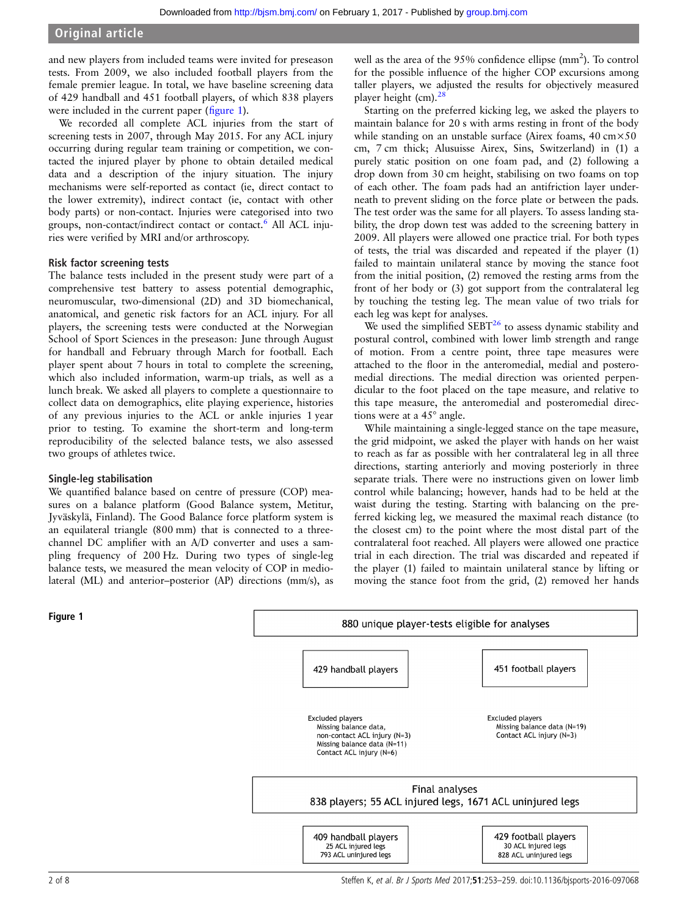<span id="page-1-0"></span>and new players from included teams were invited for preseason tests. From 2009, we also included football players from the female premier league. In total, we have baseline screening data of 429 handball and 451 football players, of which 838 players were included in the current paper (figure 1).

We recorded all complete ACL injuries from the start of screening tests in 2007, through May 2015. For any ACL injury occurring during regular team training or competition, we contacted the injured player by phone to obtain detailed medical data and a description of the injury situation. The injury mechanisms were self-reported as contact (ie, direct contact to the lower extremity), indirect contact (ie, contact with other body parts) or non-contact. Injuries were categorised into two groups, non-contact/indirect contact or contact.<sup>[6](#page-6-0)</sup> All ACL injuries were verified by MRI and/or arthroscopy.

#### Risk factor screening tests

The balance tests included in the present study were part of a comprehensive test battery to assess potential demographic, neuromuscular, two-dimensional (2D) and 3D biomechanical, anatomical, and genetic risk factors for an ACL injury. For all players, the screening tests were conducted at the Norwegian School of Sport Sciences in the preseason: June through August for handball and February through March for football. Each player spent about 7 hours in total to complete the screening, which also included information, warm-up trials, as well as a lunch break. We asked all players to complete a questionnaire to collect data on demographics, elite playing experience, histories of any previous injuries to the ACL or ankle injuries 1 year prior to testing. To examine the short-term and long-term reproducibility of the selected balance tests, we also assessed two groups of athletes twice.

#### Single-leg stabilisation

We quantified balance based on centre of pressure (COP) measures on a balance platform (Good Balance system, Metitur, Jyväskylä, Finland). The Good Balance force platform system is an equilateral triangle (800 mm) that is connected to a threechannel DC amplifier with an A/D converter and uses a sampling frequency of 200 Hz. During two types of single-leg balance tests, we measured the mean velocity of COP in mediolateral (ML) and anterior–posterior (AP) directions (mm/s), as

well as the area of the  $95\%$  confidence ellipse (mm<sup>2</sup>). To control for the possible influence of the higher COP excursions among taller players, we adjusted the results for objectively measured player height (cm).<sup>[28](#page-6-0)</sup>

Starting on the preferred kicking leg, we asked the players to maintain balance for 20 s with arms resting in front of the body while standing on an unstable surface (Airex foams, 40 cm×50 cm, 7 cm thick; Alusuisse Airex, Sins, Switzerland) in (1) a purely static position on one foam pad, and (2) following a drop down from 30 cm height, stabilising on two foams on top of each other. The foam pads had an antifriction layer underneath to prevent sliding on the force plate or between the pads. The test order was the same for all players. To assess landing stability, the drop down test was added to the screening battery in 2009. All players were allowed one practice trial. For both types of tests, the trial was discarded and repeated if the player (1) failed to maintain unilateral stance by moving the stance foot from the initial position, (2) removed the resting arms from the front of her body or (3) got support from the contralateral leg by touching the testing leg. The mean value of two trials for each leg was kept for analyses.

We used the simplified  $SEBT^{26}$  $SEBT^{26}$  $SEBT^{26}$  to assess dynamic stability and postural control, combined with lower limb strength and range of motion. From a centre point, three tape measures were attached to the floor in the anteromedial, medial and posteromedial directions. The medial direction was oriented perpendicular to the foot placed on the tape measure, and relative to this tape measure, the anteromedial and posteromedial directions were at a 45° angle.

While maintaining a single-legged stance on the tape measure, the grid midpoint, we asked the player with hands on her waist to reach as far as possible with her contralateral leg in all three directions, starting anteriorly and moving posteriorly in three separate trials. There were no instructions given on lower limb control while balancing; however, hands had to be held at the waist during the testing. Starting with balancing on the preferred kicking leg, we measured the maximal reach distance (to the closest cm) to the point where the most distal part of the contralateral foot reached. All players were allowed one practice trial in each direction. The trial was discarded and repeated if the player (1) failed to maintain unilateral stance by lifting or moving the stance foot from the grid, (2) removed her hands

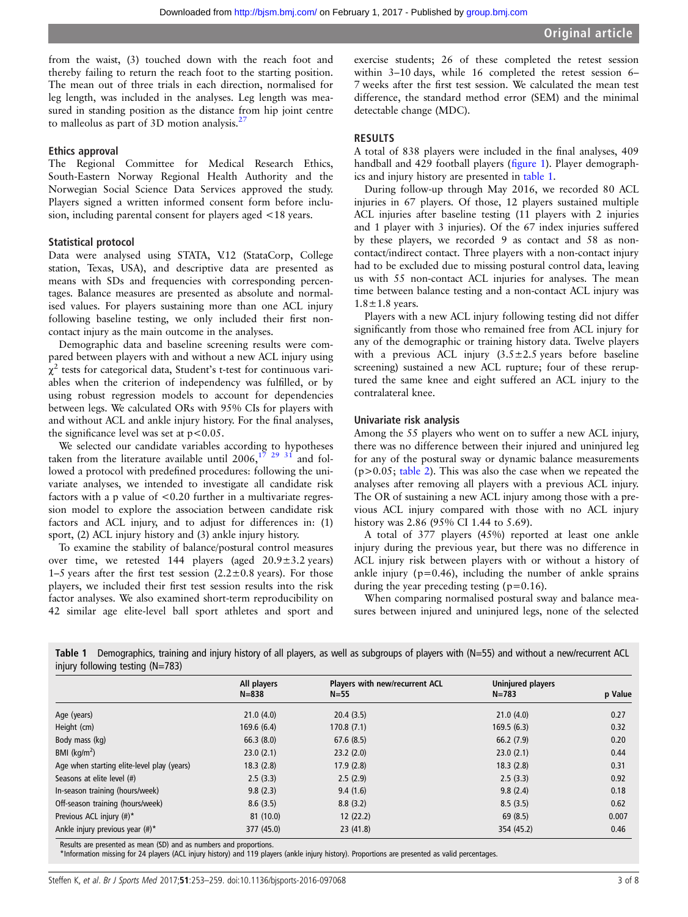from the waist, (3) touched down with the reach foot and thereby failing to return the reach foot to the starting position. The mean out of three trials in each direction, normalised for leg length, was included in the analyses. Leg length was measured in standing position as the distance from hip joint centre to malleolus as part of  $3D$  motion analysis.<sup>2</sup>

#### Ethics approval

The Regional Committee for Medical Research Ethics, South-Eastern Norway Regional Health Authority and the Norwegian Social Science Data Services approved the study. Players signed a written informed consent form before inclusion, including parental consent for players aged <18 years.

#### Statistical protocol

Data were analysed using STATA, V.12 (StataCorp, College station, Texas, USA), and descriptive data are presented as means with SDs and frequencies with corresponding percentages. Balance measures are presented as absolute and normalised values. For players sustaining more than one ACL injury following baseline testing, we only included their first noncontact injury as the main outcome in the analyses.

Demographic data and baseline screening results were compared between players with and without a new ACL injury using  $\chi^2$  tests for categorical data, Student's t-test for continuous variables when the criterion of independency was fulfilled, or by using robust regression models to account for dependencies between legs. We calculated ORs with 95% CIs for players with and without ACL and ankle injury history. For the final analyses, the significance level was set at  $p < 0.05$ .

We selected our candidate variables according to hypotheses taken from the literature available until  $2006$ ,  $\frac{17}{29}$   $\frac{29}{31}$  and followed a protocol with predefined procedures: following the univariate analyses, we intended to investigate all candidate risk factors with a p value of <0.20 further in a multivariate regression model to explore the association between candidate risk factors and ACL injury, and to adjust for differences in: (1) sport, (2) ACL injury history and (3) ankle injury history.

To examine the stability of balance/postural control measures over time, we retested 144 players (aged 20.9±3.2 years) 1–5 years after the first test session  $(2.2 \pm 0.8 \text{ years})$ . For those players, we included their first test session results into the risk factor analyses. We also examined short-term reproducibility on 42 similar age elite-level ball sport athletes and sport and

exercise students; 26 of these completed the retest session within 3–10 days, while 16 completed the retest session 6– 7 weeks after the first test session. We calculated the mean test difference, the standard method error (SEM) and the minimal detectable change (MDC).

## RESULTS

A total of 838 players were included in the final analyses, 409 handball and 429 football players (fi[gure 1\)](#page-1-0). Player demographics and injury history are presented in table 1.

During follow-up through May 2016, we recorded 80 ACL injuries in 67 players. Of those, 12 players sustained multiple ACL injuries after baseline testing (11 players with 2 injuries and 1 player with 3 injuries). Of the 67 index injuries suffered by these players, we recorded 9 as contact and 58 as noncontact/indirect contact. Three players with a non-contact injury had to be excluded due to missing postural control data, leaving us with 55 non-contact ACL injuries for analyses. The mean time between balance testing and a non-contact ACL injury was  $1.8 \pm 1.8$  years.

Players with a new ACL injury following testing did not differ significantly from those who remained free from ACL injury for any of the demographic or training history data. Twelve players with a previous ACL injury  $(3.5 \pm 2.5 \text{ years})$  before baseline screening) sustained a new ACL rupture; four of these reruptured the same knee and eight suffered an ACL injury to the contralateral knee.

#### Univariate risk analysis

Among the 55 players who went on to suffer a new ACL injury, there was no difference between their injured and uninjured leg for any of the postural sway or dynamic balance measurements  $(p>0.05;$  [table 2](#page-3-0)). This was also the case when we repeated the analyses after removing all players with a previous ACL injury. The OR of sustaining a new ACL injury among those with a previous ACL injury compared with those with no ACL injury history was 2.86 (95% CI 1.44 to 5.69).

A total of 377 players (45%) reported at least one ankle injury during the previous year, but there was no difference in ACL injury risk between players with or without a history of ankle injury ( $p=0.46$ ), including the number of ankle sprains during the year preceding testing  $(p=0.16)$ .

When comparing normalised postural sway and balance measures between injured and uninjured legs, none of the selected

Table 1 Demographics, training and injury history of all players, as well as subgroups of players with (N=55) and without a new/recurrent ACL injury following testing (N=783)

|                                            | All players | Players with new/recurrent ACL | <b>Uninjured players</b> |         |
|--------------------------------------------|-------------|--------------------------------|--------------------------|---------|
|                                            | $N = 838$   | $N = 55$                       | $N = 783$                | p Value |
| Age (years)                                | 21.0(4.0)   | 20.4(3.5)                      | 21.0(4.0)                | 0.27    |
| Height (cm)                                | 169.6(6.4)  | 170.8(7.1)                     | 169.5(6.3)               | 0.32    |
| Body mass (kg)                             | 66.3(8.0)   | 67.6(8.5)                      | 66.2(7.9)                | 0.20    |
| BMI ( $kg/m2$ )                            | 23.0(2.1)   | 23.2(2.0)                      | 23.0(2.1)                | 0.44    |
| Age when starting elite-level play (years) | 18.3(2.8)   | 17.9(2.8)                      | 18.3(2.8)                | 0.31    |
| Seasons at elite level (#)                 | 2.5(3.3)    | 2.5(2.9)                       | 2.5(3.3)                 | 0.92    |
| In-season training (hours/week)            | 9.8(2.3)    | 9.4(1.6)                       | 9.8(2.4)                 | 0.18    |
| Off-season training (hours/week)           | 8.6(3.5)    | 8.8(3.2)                       | 8.5(3.5)                 | 0.62    |
| Previous ACL injury (#)*                   | 81(10.0)    | 12(22.2)                       | 69(8.5)                  | 0.007   |
| Ankle injury previous year (#)*            | 377 (45.0)  | 23(41.8)                       | 354 (45.2)               | 0.46    |

Results are presented as mean (SD) and as numbers and proportions.

\*Information missing for 24 players (ACL injury history) and 119 players (ankle injury history). Proportions are presented as valid percentages.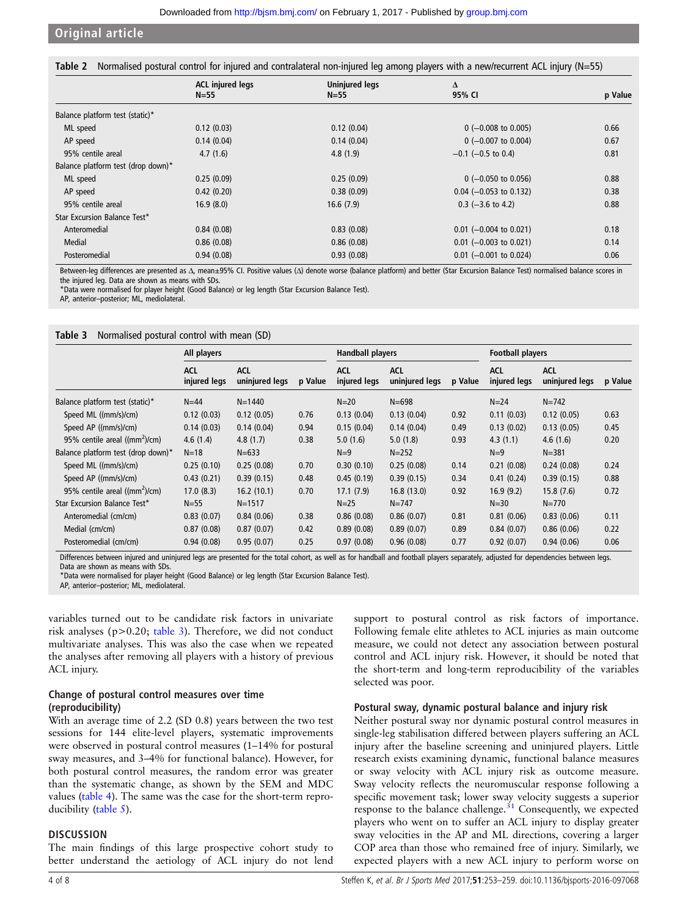<span id="page-3-0"></span>Table 2 Normalised postural control for injured and contralateral non-injured leg among players with a new/recurrent ACL injury (N=55)

|                                    | <b>ACL</b> injured legs | <b>Uninjured legs</b> | Δ                        |         |
|------------------------------------|-------------------------|-----------------------|--------------------------|---------|
|                                    | $N = 55$                | $N=55$                | 95% CI                   | p Value |
| Balance platform test (static)*    |                         |                       |                          |         |
| ML speed                           | 0.12(0.03)              | 0.12(0.04)            | $0$ (-0.008 to 0.005)    | 0.66    |
| AP speed                           | 0.14(0.04)              | 0.14(0.04)            | $0$ (-0.007 to 0.004)    | 0.67    |
| 95% centile areal                  | 4.7(1.6)                | 4.8(1.9)              | $-0.1$ ( $-0.5$ to 0.4)  | 0.81    |
| Balance platform test (drop down)* |                         |                       |                          |         |
| ML speed                           | 0.25(0.09)              | 0.25(0.09)            | $0$ (-0.050 to 0.056)    | 0.88    |
| AP speed                           | 0.42(0.20)              | 0.38(0.09)            | $0.04$ (-0.053 to 0.132) | 0.38    |
| 95% centile areal                  | 16.9(8.0)               | 16.6(7.9)             | $0.3$ (-3.6 to 4.2)      | 0.88    |
| Star Excursion Balance Test*       |                         |                       |                          |         |
| Anteromedial                       | 0.84(0.08)              | 0.83(0.08)            | $0.01$ (-0.004 to 0.021) | 0.18    |
| Medial                             | 0.86(0.08)              | 0.86(0.08)            | $0.01$ (-0.003 to 0.021) | 0.14    |
| Posteromedial                      | 0.94(0.08)              | 0.93(0.08)            | $0.01$ (-0.001 to 0.024) | 0.06    |

Between-leg differences are presented as Δ, mean±95% CI. Positive values (Δ) denote worse (balance platform) and better (Star Excursion Balance Test) normalised balance scores in the injured leg. Data are shown as means with SDs.

\*Data were normalised for player height (Good Balance) or leg length (Star Excursion Balance Test).

AP, anterior–posterior; ML, mediolateral.

#### Table 3 Normalised postural control with mean (SD)

|                                    | All players                |                              |         |                            | Handball players             |         |                            | <b>Football players</b>      |         |  |  |
|------------------------------------|----------------------------|------------------------------|---------|----------------------------|------------------------------|---------|----------------------------|------------------------------|---------|--|--|
|                                    | <b>ACL</b><br>injured legs | <b>ACL</b><br>uninjured legs | p Value | <b>ACL</b><br>injured legs | <b>ACL</b><br>uninjured legs | p Value | <b>ACL</b><br>injured legs | <b>ACL</b><br>uninjured legs | p Value |  |  |
| Balance platform test (static)*    | $N = 44$                   | $N = 1440$                   |         | $N=20$                     | $N = 698$                    |         | $N = 24$                   | $N = 742$                    |         |  |  |
| Speed ML ((mm/s)/cm)               | 0.12(0.03)                 | 0.12(0.05)                   | 0.76    | 0.13(0.04)                 | 0.13(0.04)                   | 0.92    | 0.11(0.03)                 | 0.12(0.05)                   | 0.63    |  |  |
| Speed AP ((mm/s)/cm)               | 0.14(0.03)                 | 0.14(0.04)                   | 0.94    | 0.15(0.04)                 | 0.14(0.04)                   | 0.49    | 0.13(0.02)                 | 0.13(0.05)                   | 0.45    |  |  |
| 95% centile areal $((mm2)/cm)$     | 4.6(1.4)                   | 4.8(1.7)                     | 0.38    | 5.0(1.6)                   | 5.0(1.8)                     | 0.93    | 4.3(1.1)                   | 4.6(1.6)                     | 0.20    |  |  |
| Balance platform test (drop down)* | $N=18$                     | $N = 633$                    |         | $N=9$                      | $N = 252$                    |         | $N=9$                      | $N = 381$                    |         |  |  |
| Speed ML ((mm/s)/cm)               | 0.25(0.10)                 | 0.25(0.08)                   | 0.70    | 0.30(0.10)                 | 0.25(0.08)                   | 0.14    | 0.21(0.08)                 | 0.24(0.08)                   | 0.24    |  |  |
| Speed AP ((mm/s)/cm)               | 0.43(0.21)                 | 0.39(0.15)                   | 0.48    | 0.45(0.19)                 | 0.39(0.15)                   | 0.34    | 0.41(0.24)                 | 0.39(0.15)                   | 0.88    |  |  |
| 95% centile areal $((mm2)/cm)$     | 17.0(8.3)                  | 16.2(10.1)                   | 0.70    | 17.1(7.9)                  | 16.8(13.0)                   | 0.92    | 16.9(9.2)                  | 15.8(7.6)                    | 0.72    |  |  |
| Star Excursion Balance Test*       | $N = 55$                   | $N = 1517$                   |         | $N=25$                     | $N = 747$                    |         | $N = 30$                   | $N = 770$                    |         |  |  |
| Anteromedial (cm/cm)               | 0.83(0.07)                 | 0.84(0.06)                   | 0.38    | 0.86(0.08)                 | 0.86(0.07)                   | 0.81    | 0.81(0.06)                 | 0.83(0.06)                   | 0.11    |  |  |
| Medial (cm/cm)                     | 0.87(0.08)                 | 0.87(0.07)                   | 0.42    | 0.89(0.08)                 | 0.89(0.07)                   | 0.89    | 0.84(0.07)                 | 0.86(0.06)                   | 0.22    |  |  |
| Posteromedial (cm/cm)              | 0.94(0.08)                 | 0.95(0.07)                   | 0.25    | 0.97(0.08)                 | 0.96(0.08)                   | 0.77    | 0.92(0.07)                 | 0.94(0.06)                   | 0.06    |  |  |

Differences between injured and uninjured legs are presented for the total cohort, as well as for handball and football players separately, adjusted for dependencies between legs. Data are shown as means with SDs.

\*Data were normalised for player height (Good Balance) or leg length (Star Excursion Balance Test).

AP, anterior–posterior; ML, mediolateral.

variables turned out to be candidate risk factors in univariate risk analyses (p>0.20; table 3). Therefore, we did not conduct multivariate analyses. This was also the case when we repeated the analyses after removing all players with a history of previous ACL injury.

### Change of postural control measures over time (reproducibility)

With an average time of 2.2 (SD 0.8) years between the two test sessions for 144 elite-level players, systematic improvements were observed in postural control measures (1–14% for postural sway measures, and 3–4% for functional balance). However, for both postural control measures, the random error was greater than the systematic change, as shown by the SEM and MDC values ([table 4\)](#page-4-0). The same was the case for the short-term reproducibility [\(table 5](#page-4-0)).

#### **DISCUSSION**

The main findings of this large prospective cohort study to better understand the aetiology of ACL injury do not lend support to postural control as risk factors of importance. Following female elite athletes to ACL injuries as main outcome measure, we could not detect any association between postural control and ACL injury risk. However, it should be noted that the short-term and long-term reproducibility of the variables selected was poor.

#### Postural sway, dynamic postural balance and injury risk

Neither postural sway nor dynamic postural control measures in single-leg stabilisation differed between players suffering an ACL injury after the baseline screening and uninjured players. Little research exists examining dynamic, functional balance measures or sway velocity with ACL injury risk as outcome measure. Sway velocity reflects the neuromuscular response following a specific movement task; lower sway velocity suggests a superior response to the balance challenge. $31$  Consequently, we expected players who went on to suffer an ACL injury to display greater sway velocities in the AP and ML directions, covering a larger COP area than those who remained free of injury. Similarly, we expected players with a new ACL injury to perform worse on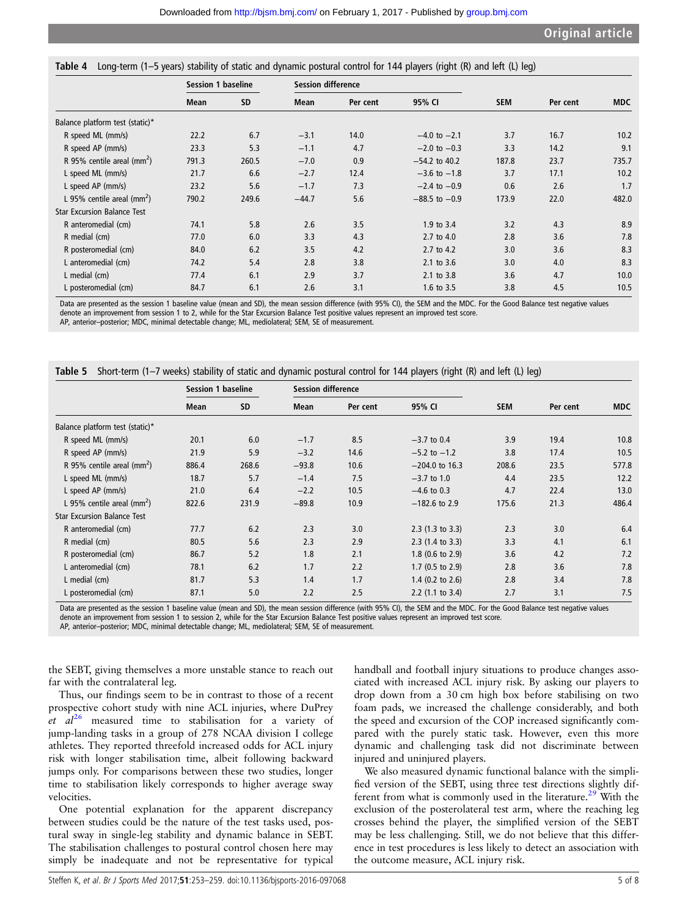<span id="page-4-0"></span>

|  |  | Table 4 Long-term (1-5 years) stability of static and dynamic postural control for 144 players (right (R) and left (L) leg) |  |  |  |  |  |  |  |
|--|--|-----------------------------------------------------------------------------------------------------------------------------|--|--|--|--|--|--|--|
|--|--|-----------------------------------------------------------------------------------------------------------------------------|--|--|--|--|--|--|--|

|                                        | <b>Session 1 baseline</b> |           | <b>Session difference</b> |          |                   |            |          |            |
|----------------------------------------|---------------------------|-----------|---------------------------|----------|-------------------|------------|----------|------------|
| Mean                                   |                           | <b>SD</b> | Mean                      | Per cent | 95% CI            | <b>SEM</b> | Per cent | <b>MDC</b> |
| Balance platform test (static)*        |                           |           |                           |          |                   |            |          |            |
| R speed ML (mm/s)                      | 22.2                      | 6.7       | $-3.1$                    | 14.0     | $-4.0$ to $-2.1$  | 3.7        | 16.7     | 10.2       |
| R speed AP (mm/s)                      | 23.3                      | 5.3       | $-1.1$                    | 4.7      | $-2.0$ to $-0.3$  | 3.3        | 14.2     | 9.1        |
| R 95% centile areal ( $mm2$ )          | 791.3                     | 260.5     | $-7.0$                    | 0.9      | $-54.2$ to 40.2   | 187.8      | 23.7     | 735.7      |
| L speed ML (mm/s)                      | 21.7                      | 6.6       | $-2.7$                    | 12.4     | $-3.6$ to $-1.8$  | 3.7        | 17.1     | 10.2       |
| L speed AP (mm/s)                      | 23.2                      | 5.6       | $-1.7$                    | 7.3      | $-2.4$ to $-0.9$  | 0.6        | 2.6      | 1.7        |
| L 95% centile areal (mm <sup>2</sup> ) | 790.2                     | 249.6     | $-44.7$                   | 5.6      | $-88.5$ to $-0.9$ | 173.9      | 22.0     | 482.0      |
| <b>Star Excursion Balance Test</b>     |                           |           |                           |          |                   |            |          |            |
| R anteromedial (cm)                    | 74.1                      | 5.8       | 2.6                       | 3.5      | 1.9 to 3.4        | 3.2        | 4.3      | 8.9        |
| R medial (cm)                          | 77.0                      | 6.0       | 3.3                       | 4.3      | 2.7 to 4.0        | 2.8        | 3.6      | 7.8        |
| R posteromedial (cm)                   | 84.0                      | 6.2       | 3.5                       | 4.2      | 2.7 to 4.2        | 3.0        | 3.6      | 8.3        |
| L anteromedial (cm)                    | 74.2                      | 5.4       | 2.8                       | 3.8      | 2.1 to 3.6        | 3.0        | 4.0      | 8.3        |
| L medial $(cm)$                        | 77.4                      | 6.1       | 2.9                       | 3.7      | 2.1 to 3.8        | 3.6        | 4.7      | 10.0       |
| L posteromedial (cm)                   | 84.7                      | 6.1       | 2.6                       | 3.1      | 1.6 to 3.5        | 3.8        | 4.5      | 10.5       |

Data are presented as the session 1 baseline value (mean and SD), the mean session difference (with 95% CI), the SEM and the MDC. For the Good Balance test negative values denote an improvement from session 1 to 2, while for the Star Excursion Balance Test positive values represent an improved test score. AP, anterior–posterior; MDC, minimal detectable change; ML, mediolateral; SEM, SE of measurement.

|  | Table 5 Short-term (1–7 weeks) stability of static and dynamic postural control for 144 players (right (R) and left (L) leg) |  |  |  |  |  |  |  |  |  |  |  |  |  |  |  |  |
|--|------------------------------------------------------------------------------------------------------------------------------|--|--|--|--|--|--|--|--|--|--|--|--|--|--|--|--|
|--|------------------------------------------------------------------------------------------------------------------------------|--|--|--|--|--|--|--|--|--|--|--|--|--|--|--|--|

|                                        | <b>Session 1 baseline</b><br><b>SD</b><br><b>Mean</b> |       | <b>Session difference</b> |          |                             |            |          |            |
|----------------------------------------|-------------------------------------------------------|-------|---------------------------|----------|-----------------------------|------------|----------|------------|
|                                        |                                                       |       | Mean                      | Per cent | 95% CI                      | <b>SEM</b> | Per cent | <b>MDC</b> |
| Balance platform test (static)*        |                                                       |       |                           |          |                             |            |          |            |
| R speed ML (mm/s)                      | 20.1                                                  | 6.0   | $-1.7$                    | 8.5      | $-3.7$ to 0.4               | 3.9        | 19.4     | 10.8       |
| R speed AP (mm/s)                      | 21.9                                                  | 5.9   | $-3.2$                    | 14.6     | $-5.2$ to $-1.2$            | 3.8        | 17.4     | 10.5       |
| R 95% centile areal ( $mm2$ )          | 886.4                                                 | 268.6 | $-93.8$                   | 10.6     | $-204.0$ to 16.3            | 208.6      | 23.5     | 577.8      |
| L speed ML (mm/s)                      | 18.7                                                  | 5.7   | $-1.4$                    | 7.5      | $-3.7$ to 1.0               | 4.4        | 23.5     | 12.2       |
| L speed AP (mm/s)                      | 21.0                                                  | 6.4   | $-2.2$                    | 10.5     | $-4.6$ to 0.3               | 4.7        | 22.4     | 13.0       |
| L 95% centile areal (mm <sup>2</sup> ) | 822.6                                                 | 231.9 | $-89.8$                   | 10.9     | $-182.6$ to 2.9             | 175.6      | 21.3     | 486.4      |
| <b>Star Excursion Balance Test</b>     |                                                       |       |                           |          |                             |            |          |            |
| R anteromedial (cm)                    | 77.7                                                  | 6.2   | 2.3                       | 3.0      | $2.3$ (1.3 to 3.3)          | 2.3        | 3.0      | 6.4        |
| R medial (cm)                          | 80.5                                                  | 5.6   | 2.3                       | 2.9      | $2.3$ (1.4 to 3.3)          | 3.3        | 4.1      | 6.1        |
| R posteromedial (cm)                   | 86.7                                                  | 5.2   | 1.8                       | 2.1      | $1.8$ (0.6 to 2.9)          | 3.6        | 4.2      | 7.2        |
| L anteromedial (cm)                    | 78.1                                                  | 6.2   | 1.7                       | 2.2      | $1.7$ (0.5 to 2.9)          | 2.8        | 3.6      | 7.8        |
| L medial $(cm)$                        | 81.7                                                  | 5.3   | 1.4                       | 1.7      | 1.4 $(0.2 \text{ to } 2.6)$ | 2.8        | 3.4      | 7.8        |
| L posteromedial (cm)                   | 87.1                                                  | 5.0   | 2.2                       | 2.5      | $2.2$ (1.1 to 3.4)          | 2.7        | 3.1      | 7.5        |

Data are presented as the session 1 baseline value (mean and SD), the mean session difference (with 95% CI), the SEM and the MDC. For the Good Balance test negative values denote an improvement from session 1 to session 2, while for the Star Excursion Balance Test positive values represent an improved test score. AP, anterior–posterior; MDC, minimal detectable change; ML, mediolateral; SEM, SE of measurement.

the SEBT, giving themselves a more unstable stance to reach out far with the contralateral leg.

Thus, our findings seem to be in contrast to those of a recent prospective cohort study with nine ACL injuries, where DuPrey et  $a l^{26}$  $a l^{26}$  $a l^{26}$  measured time to stabilisation for a variety of jump-landing tasks in a group of 278 NCAA division I college athletes. They reported threefold increased odds for ACL injury risk with longer stabilisation time, albeit following backward jumps only. For comparisons between these two studies, longer time to stabilisation likely corresponds to higher average sway velocities.

One potential explanation for the apparent discrepancy between studies could be the nature of the test tasks used, postural sway in single-leg stability and dynamic balance in SEBT. The stabilisation challenges to postural control chosen here may simply be inadequate and not be representative for typical handball and football injury situations to produce changes associated with increased ACL injury risk. By asking our players to drop down from a 30 cm high box before stabilising on two foam pads, we increased the challenge considerably, and both the speed and excursion of the COP increased significantly compared with the purely static task. However, even this more dynamic and challenging task did not discriminate between injured and uninjured players.

We also measured dynamic functional balance with the simplified version of the SEBT, using three test directions slightly different from what is commonly used in the literature.<sup>29</sup> With the exclusion of the posterolateral test arm, where the reaching leg crosses behind the player, the simplified version of the SEBT may be less challenging. Still, we do not believe that this difference in test procedures is less likely to detect an association with the outcome measure, ACL injury risk.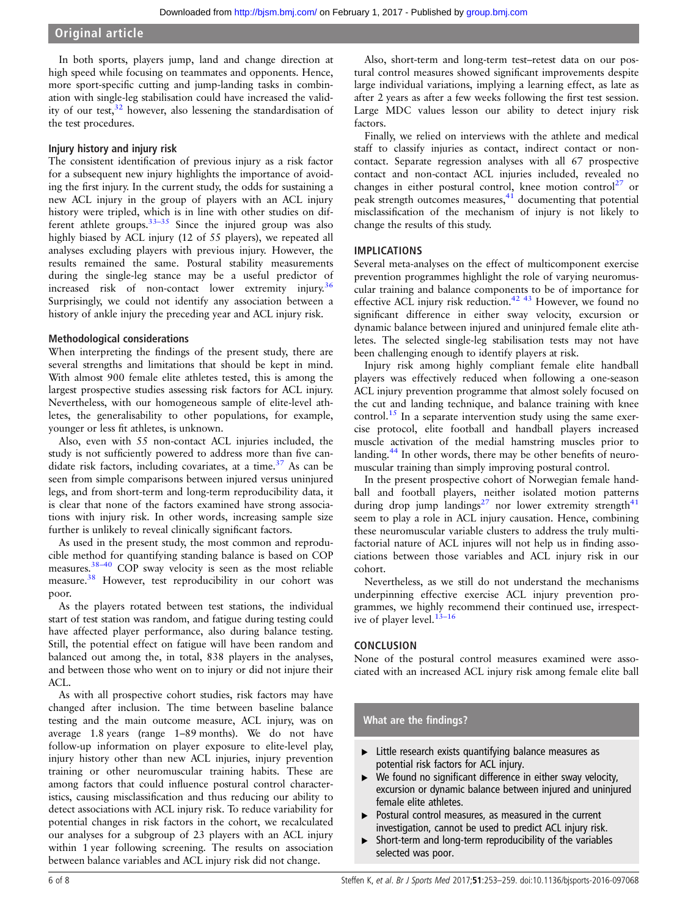In both sports, players jump, land and change direction at high speed while focusing on teammates and opponents. Hence, more sport-specific cutting and jump-landing tasks in combination with single-leg stabilisation could have increased the valid-ity of our test,<sup>[32](#page-6-0)</sup> however, also lessening the standardisation of the test procedures.

#### Injury history and injury risk

The consistent identification of previous injury as a risk factor for a subsequent new injury highlights the importance of avoiding the first injury. In the current study, the odds for sustaining a new ACL injury in the group of players with an ACL injury history were tripled, which is in line with other studies on different athlete groups.33–[35](#page-6-0) Since the injured group was also highly biased by ACL injury (12 of 55 players), we repeated all analyses excluding players with previous injury. However, the results remained the same. Postural stability measurements during the single-leg stance may be a useful predictor of increased risk of non-contact lower extremity injury.<sup>[36](#page-7-0)</sup> Surprisingly, we could not identify any association between a history of ankle injury the preceding year and ACL injury risk.

#### Methodological considerations

When interpreting the findings of the present study, there are several strengths and limitations that should be kept in mind. With almost 900 female elite athletes tested, this is among the largest prospective studies assessing risk factors for ACL injury. Nevertheless, with our homogeneous sample of elite-level athletes, the generalisability to other populations, for example, younger or less fit athletes, is unknown.

Also, even with 55 non-contact ACL injuries included, the study is not sufficiently powered to address more than five can-didate risk factors, including covariates, at a time.<sup>[37](#page-7-0)</sup> As can be seen from simple comparisons between injured versus uninjured legs, and from short-term and long-term reproducibility data, it is clear that none of the factors examined have strong associations with injury risk. In other words, increasing sample size further is unlikely to reveal clinically significant factors.

As used in the present study, the most common and reproducible method for quantifying standing balance is based on COP measures.<sup>[38](#page-7-0)-40</sup> COP sway velocity is seen as the most reliable measure.<sup>[38](#page-7-0)</sup> However, test reproducibility in our cohort was poor.

As the players rotated between test stations, the individual start of test station was random, and fatigue during testing could have affected player performance, also during balance testing. Still, the potential effect on fatigue will have been random and balanced out among the, in total, 838 players in the analyses, and between those who went on to injury or did not injure their ACL.

As with all prospective cohort studies, risk factors may have changed after inclusion. The time between baseline balance testing and the main outcome measure, ACL injury, was on average 1.8 years (range 1–89 months). We do not have follow-up information on player exposure to elite-level play, injury history other than new ACL injuries, injury prevention training or other neuromuscular training habits. These are among factors that could influence postural control characteristics, causing misclassification and thus reducing our ability to detect associations with ACL injury risk. To reduce variability for potential changes in risk factors in the cohort, we recalculated our analyses for a subgroup of 23 players with an ACL injury within 1 year following screening. The results on association between balance variables and ACL injury risk did not change.

Also, short-term and long-term test–retest data on our postural control measures showed significant improvements despite large individual variations, implying a learning effect, as late as after 2 years as after a few weeks following the first test session. Large MDC values lesson our ability to detect injury risk factors.

Finally, we relied on interviews with the athlete and medical staff to classify injuries as contact, indirect contact or noncontact. Separate regression analyses with all 67 prospective contact and non-contact ACL injuries included, revealed no changes in either postural control, knee motion control<sup>[27](#page-6-0)</sup> or peak strength outcomes measures, $41$  documenting that potential misclassification of the mechanism of injury is not likely to change the results of this study.

#### IMPLICATIONS

Several meta-analyses on the effect of multicomponent exercise prevention programmes highlight the role of varying neuromuscular training and balance components to be of importance for effective ACL injury risk reduction.<sup>[42 43](#page-7-0)</sup> However, we found no significant difference in either sway velocity, excursion or dynamic balance between injured and uninjured female elite athletes. The selected single-leg stabilisation tests may not have been challenging enough to identify players at risk.

Injury risk among highly compliant female elite handball players was effectively reduced when following a one-season ACL injury prevention programme that almost solely focused on the cut and landing technique, and balance training with knee control.<sup>[15](#page-6-0)</sup> In a separate intervention study using the same exercise protocol, elite football and handball players increased muscle activation of the medial hamstring muscles prior to landing.<sup>[44](#page-7-0)</sup> In other words, there may be other benefits of neuromuscular training than simply improving postural control.

In the present prospective cohort of Norwegian female handball and football players, neither isolated motion patterns during drop jump landings<sup>[27](#page-6-0)</sup> nor lower extremity strength<sup>[41](#page-7-0)</sup> seem to play a role in ACL injury causation. Hence, combining these neuromuscular variable clusters to address the truly multifactorial nature of ACL injures will not help us in finding associations between those variables and ACL injury risk in our cohort.

Nevertheless, as we still do not understand the mechanisms underpinning effective exercise ACL injury prevention programmes, we highly recommend their continued use, irrespect-ive of player level.<sup>[13](#page-6-0)-16</sup>

#### **CONCLUSION**

None of the postural control measures examined were associated with an increased ACL injury risk among female elite ball

#### What are the findings?

- ▸ Little research exists quantifying balance measures as potential risk factors for ACL injury.
- $\triangleright$  We found no significant difference in either sway velocity, excursion or dynamic balance between injured and uninjured female elite athletes.
- Postural control measures, as measured in the current investigation, cannot be used to predict ACL injury risk.
- $\triangleright$  Short-term and long-term reproducibility of the variables selected was poor.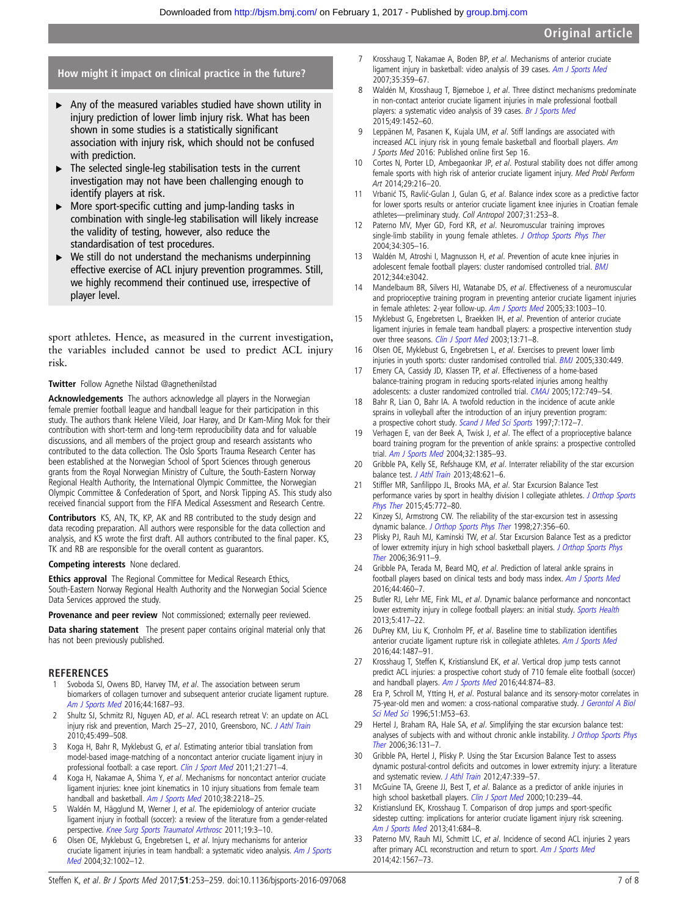## <span id="page-6-0"></span>How might it impact on clinical practice in the future?

- ▶ Any of the measured variables studied have shown utility in injury prediction of lower limb injury risk. What has been shown in some studies is a statistically significant association with injury risk, which should not be confused with prediction.
- $\blacktriangleright$  The selected single-leg stabilisation tests in the current investigation may not have been challenging enough to identify players at risk.
- ▸ More sport-specific cutting and jump-landing tasks in combination with single-leg stabilisation will likely increase the validity of testing, however, also reduce the standardisation of test procedures.
- We still do not understand the mechanisms underpinning effective exercise of ACL injury prevention programmes. Still, we highly recommend their continued use, irrespective of player level.

sport athletes. Hence, as measured in the current investigation, the variables included cannot be used to predict ACL injury risk.

#### Twitter Follow Agnethe Nilstad [@agnethenilstad](http://twitter.com/agnethenilstad)

Acknowledgements The authors acknowledge all players in the Norwegian female premier football league and handball league for their participation in this study. The authors thank Helene Vileid, Joar Harøy, and Dr Kam-Ming Mok for their contribution with short-term and long-term reproducibility data and for valuable discussions, and all members of the project group and research assistants who contributed to the data collection. The Oslo Sports Trauma Research Center has been established at the Norwegian School of Sport Sciences through generous grants from the Royal Norwegian Ministry of Culture, the South-Eastern Norway Regional Health Authority, the International Olympic Committee, the Norwegian Olympic Committee & Confederation of Sport, and Norsk Tipping AS. This study also received financial support from the FIFA Medical Assessment and Research Centre.

Contributors KS, AN, TK, KP, AK and RB contributed to the study design and data recoding preparation. All authors were responsible for the data collection and analysis, and KS wrote the first draft. All authors contributed to the final paper. KS, TK and RB are responsible for the overall content as guarantors.

#### Competing interests None declared.

Ethics approval The Regional Committee for Medical Research Ethics, South-Eastern Norway Regional Health Authority and the Norwegian Social Science Data Services approved the study.

#### Provenance and peer review Not commissioned; externally peer reviewed.

Data sharing statement The present paper contains original material only that has not been previously published.

#### **REFERENCES**

- Svoboda SJ, Owens BD, Harvey TM, et al. The association between serum biomarkers of collagen turnover and subsequent anterior cruciate ligament rupture. [Am J Sports Med](http://dx.doi.org/10.1177/0363546516640515) 2016;44:1687–93.
- Shultz SJ, Schmitz RJ, Nguyen AD, et al. ACL research retreat V: an update on ACL injury risk and prevention, March 25-27, 2010, Greensboro, NC. [J Athl Train](http://dx.doi.org/10.4085/1062-6050-45.5.499) 2010;45:499–508.
- 3 Koga H, Bahr R, Myklebust G, et al. Estimating anterior tibial translation from model-based image-matching of a noncontact anterior cruciate ligament injury in professional football: a case report. [Clin J Sport Med](http://dx.doi.org/10.1097/JSM.0b013e31821899ec) 2011;21:271-4.
- 4 Koga H, Nakamae A, Shima Y, et al. Mechanisms for noncontact anterior cruciate ligament injuries: knee joint kinematics in 10 injury situations from female team handball and basketball. [Am J Sports Med](http://dx.doi.org/10.1177/0363546510373570) 2010;38:2218-25.
- 5 Waldén M, Hägglund M, Werner J, et al. The epidemiology of anterior cruciate ligament injury in football (soccer): a review of the literature from a gender-related perspective. [Knee Surg Sports Traumatol Arthrosc](http://dx.doi.org/10.1007/s00167-010-1172-7) 2011;19:3–10.
- 6 Olsen OE, Myklebust G, Engebretsen L, et al. Injury mechanisms for anterior cruciate ligament injuries in team handball: a systematic video analysis. [Am J Sports](http://dx.doi.org/10.1177/0363546503261724) [Med](http://dx.doi.org/10.1177/0363546503261724) 2004;32:1002–12.
- 7 Krosshaug T, Nakamae A, Boden BP, et al. Mechanisms of anterior cruciate ligament injury in basketball: video analysis of 39 cases. [Am J Sports Med](http://dx.doi.org/10.1177/0363546506293899) 2007;35:359–67.
- 8 Waldén M, Krosshaug T, Bjørneboe J, et al. Three distinct mechanisms predominate in non-contact anterior cruciate ligament injuries in male professional football players: a systematic video analysis of 39 cases. [Br J Sports Med](http://dx.doi.org/10.1136/bjsports-2014-094573) 2015;49:1452–60.
- 9 Leppänen M, Pasanen K, Kujala UM, et al. Stiff landings are associated with increased ACL injury risk in young female basketball and floorball players. Am J Sports Med 2016: Published online first Sep 16.
- 10 Cortes N, Porter LD, Ambegaonkar JP, et al. Postural stability does not differ among female sports with high risk of anterior cruciate ligament injury. Med Probl Perform Art 2014;29:216–20.
- 11 Vrbanić TS, Ravlić-Gulan J, Gulan G, et al. Balance index score as a predictive factor for lower sports results or anterior cruciate ligament knee injuries in Croatian female athletes—preliminary study. Coll Antropol 2007;31:253–8.
- 12 Paterno MV, Myer GD, Ford KR, et al. Neuromuscular training improves single-limb stability in young female athletes. [J Orthop Sports Phys Ther](http://dx.doi.org/10.2519/jospt.2004.34.6.305) 2004;34:305–16.
- 13 Waldén M, Atroshi I, Magnusson H, et al. Prevention of acute knee injuries in adolescent female football players: cluster randomised controlled trial. **[BMJ](http://dx.doi.org/10.1136/bmj.e3042)** 2012;344:e3042.
- 14 Mandelbaum BR, Silvers HJ, Watanabe DS, et al. Effectiveness of a neuromuscular and proprioceptive training program in preventing anterior cruciate ligament injuries in female athletes: 2-year follow-up. [Am J Sports Med](http://dx.doi.org/10.1177/0363546504272261) 2005;33:1003–10.
- 15 Myklebust G, Engebretsen L, Braekken IH, et al. Prevention of anterior cruciate ligament injuries in female team handball players: a prospective intervention study over three seasons. [Clin J Sport Med](http://dx.doi.org/10.1097/00042752-200303000-00002) 2003;13:71-8.
- 16 Olsen OE, Myklebust G, Engebretsen L, et al. Exercises to prevent lower limb injuries in youth sports: cluster randomised controlled trial. **BMJ** 2005;330:449.
- 17 Emery CA, Cassidy JD, Klassen TP, et al. Effectiveness of a home-based balance-training program in reducing sports-related injuries among healthy adolescents: a cluster randomized controlled trial. CMAJ 2005;172:749–54.
- 18 Bahr R, Lian O, Bahr IA. A twofold reduction in the incidence of acute ankle sprains in volleyball after the introduction of an injury prevention program: a prospective cohort study. Scand J Med Sci Sports 1997;7:172–7.
- 19 Verhagen E, van der Beek A, Twisk J, et al. The effect of a proprioceptive balance board training program for the prevention of ankle sprains: a prospective controlled trial. Am J Sports Med 2004;32:1385–93.
- 20 Gribble PA, Kelly SE, Refshauge KM, et al. Interrater reliability of the star excursion balance test. *J Athl Train* 2013;48:621-6.
- 21 Stiffler MR, Sanfilippo JL, Brooks MA, et al. Star Excursion Balance Test performance varies by sport in healthy division I collegiate athletes. J Orthop Sports Phys Ther 2015;45:772–80.
- Kinzey SJ, Armstrong CW. The reliability of the star-excursion test in assessing dynamic balance. J Orthop Sports Phys Ther 1998;27:356–60.
- 23 Plisky PJ, Rauh MJ, Kaminski TW, et al. Star Excursion Balance Test as a predictor of lower extremity injury in high school basketball players. J Orthop Sports Phys Ther 2006;36:911–9.
- Gribble PA, Terada M, Beard MQ, et al. Prediction of lateral ankle sprains in football players based on clinical tests and body mass index. Am J Sports Med 2016;44:460–7.
- 25 Butler RJ, Lehr ME, Fink ML, et al. Dynamic balance performance and noncontact lower extremity injury in college football players: an initial study. Sports Health 2013;5:417–22.
- 26 DuPrey KM, Liu K, Cronholm PF, et al. Baseline time to stabilization identifies anterior cruciate ligament rupture risk in collegiate athletes. Am J Sports Med 2016;44:1487–91.
- 27 Krosshaug T, Steffen K, Kristianslund EK, et al. Vertical drop jump tests cannot predict ACL injuries: a prospective cohort study of 710 female elite football (soccer) and handball players. Am J Sports Med 2016;44:874–83.
- 28 Era P, Schroll M, Ytting H, et al. Postural balance and its sensory-motor correlates in 75-year-old men and women: a cross-national comparative study. J Gerontol A Biol Sci Med Sci 1996;51:M53–63.
- 29 Hertel J, Braham RA, Hale SA, et al. Simplifying the star excursion balance test: analyses of subjects with and without chronic ankle instability. J Orthop Sports Phys Ther 2006;36:131–7.
- 30 Gribble PA, Hertel J, Plisky P. Using the Star Excursion Balance Test to assess dynamic postural-control deficits and outcomes in lower extremity injury: a literature and systematic review. J Athl Train 2012;47:339–57.
- 31 McGuine TA, Greene JJ, Best T, et al. Balance as a predictor of ankle injuries in high school basketball players. Clin J Sport Med 2000;10:239-44.
- 32 Kristianslund EK, Krosshaug T. Comparison of drop jumps and sport-specific sidestep cutting: implications for anterior cruciate ligament injury risk screening. Am J Sports Med 2013;41:684–8.
- 33 Paterno MV, Rauh MJ, Schmitt LC, et al. Incidence of second ACL injuries 2 years after primary ACL reconstruction and return to sport. Am J Sports Med 2014;42:1567–73.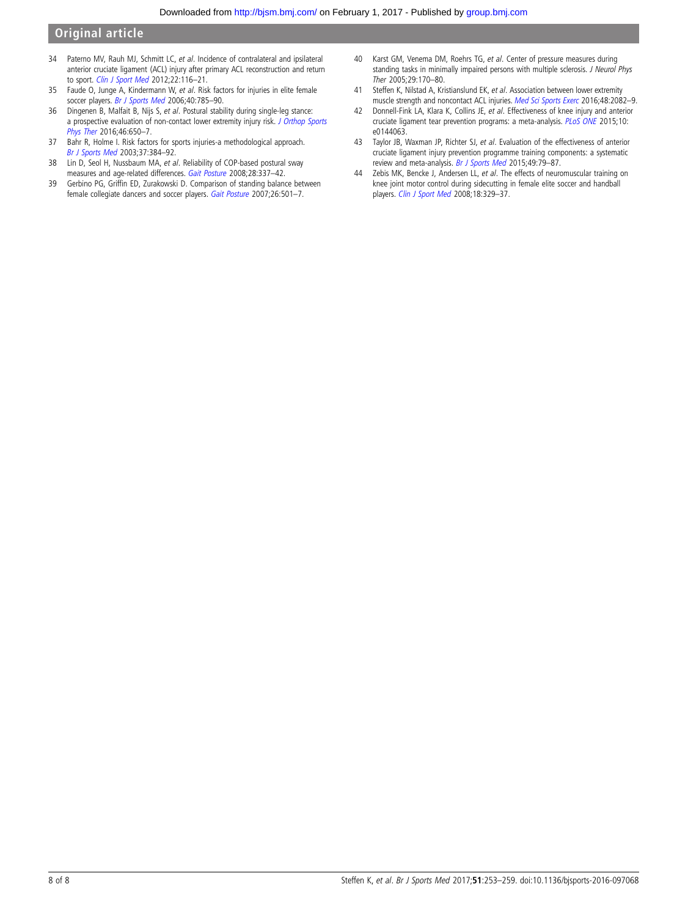- <span id="page-7-0"></span>34 Paterno MV, Rauh MJ, Schmitt LC, et al. Incidence of contralateral and ipsilateral anterior cruciate ligament (ACL) injury after primary ACL reconstruction and return to sport. Clin J Sport Med 2012;22:116–21.
- 35 Faude O, Junge A, Kindermann W, et al. Risk factors for injuries in elite female soccer players. Br J Sports Med 2006;40:785-90.
- 36 Dingenen B, Malfait B, Nijs S, et al. Postural stability during single-leg stance: a prospective evaluation of non-contact lower extremity injury risk. J Orthop Sports Phys Ther 2016;46:650–7.
- 37 Bahr R, Holme I. Risk factors for sports injuries-a methodological approach. Br J Sports Med 2003;37:384–92.
- 38 Lin D, Seol H, Nussbaum MA, et al. Reliability of COP-based postural sway measures and age-related differences. Gait Posture 2008;28:337–42.
- 39 Gerbino PG, Griffin ED, Zurakowski D. Comparison of standing balance between female collegiate dancers and soccer players. Gait Posture 2007;26:501-7.
- 40 Karst GM, Venema DM, Roehrs TG, et al. Center of pressure measures during standing tasks in minimally impaired persons with multiple sclerosis. J Neurol Phys Ther 2005;29:170–80.
- 41 Steffen K, Nilstad A, Kristianslund EK, et al. Association between lower extremity muscle strength and noncontact ACL injuries. Med Sci Sports Exerc 2016;48:2082-9.
- 42 Donnell-Fink LA, Klara K, Collins JE, et al. Effectiveness of knee injury and anterior cruciate ligament tear prevention programs: a meta-analysis. PLOS ONE 2015;10: e0144063.
- 43 Taylor JB, Waxman JP, Richter SJ, et al. Evaluation of the effectiveness of anterior cruciate ligament injury prevention programme training components: a systematic review and meta-analysis. Br J Sports Med 2015;49:79–87.
- 44 Zebis MK, Bencke J, Andersen LL, et al. The effects of neuromuscular training on knee joint motor control during sidecutting in female elite soccer and handball players. Clin J Sport Med 2008;18:329–37.